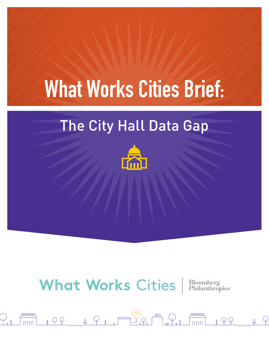# What Works Cities Brief:

# The City Hall Data Gap



# **What Works Cities** Bloomberg

 $\bigoplus_{\mathbf{x}}$ 

 $\text{if } \varphi \in \mathcal{A}, \varphi \text{ is a } \varphi \text{ is a } \varphi \text{ is a } \varphi \text{ is a } \varphi \text{ is a } \varphi \text{ is a } \varphi \text{ is a } \varphi \text{ is a } \varphi \text{ is a } \varphi \text{ is a } \varphi \text{ is a } \varphi \text{ is a } \varphi \text{ is a } \varphi \text{ is a } \varphi \text{ is a } \varphi \text{ is a } \varphi \text{ is a } \varphi \text{ is a } \varphi \text{ is a } \varphi \text{ is a } \varphi \text{ is a } \varphi \text{ is a } \varphi \text{$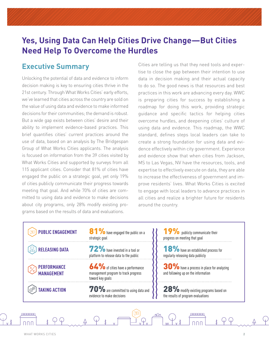# **Yes, Using Data Can Help Cities Drive Change—But Cities Need Help To Overcome the Hurdles**

### **Executive Summary**

Unlocking the potential of data and evidence to inform decision making is key to ensuring cities thrive in the 21st century. Through What Works Cities' early efforts, we've learned that cities across the country are sold on the value of using data and evidence to make informed decisions for their communities; the demand is robust. But a wide gap exists between cities' desire and their ability to implement evidence-based practices. This brief quantifies cities' current practices around the use of data, based on an analysis by The Bridgespan Group of What Works Cities applicants. The analysis is focused on information from the 39 cities visited by What Works Cities and supported by surveys from all 115 applicant cities. Consider that 81% of cities have engaged the public on a strategic goal, yet only 19% of cities publicly communicate their progress towards meeting that goal. And while 70% of cities are committed to using data and evidence to make decisions about city programs, only 28% modify existing programs based on the results of data and evaluations.

Cities are telling us that they need tools and expertise to close the gap between their intention to use data in decision making and their actual capacity to do so. The good news is that resources and best practices in this work are advancing every day. WWC is preparing cities for success by establishing a roadmap for doing this work, providing strategic guidance and specific tactics for helping cities overcome hurdles, and deepening cities' culture of using data and evidence. This roadmap, the WWC standard, defines steps local leaders can take to create a strong foundation for using data and evidence effectively within city government. Experience and evidence show that when cities from Jackson, MS to Las Vegas, NV have the resources, tools, and expertise to effectively execute on data, they are able to increase the effectiveness of government and improve residents' lives. What Works Cities is excited to engage with local leaders to advance practices in all cities and realize a brighter future for residents around the country.

| <b>PUBLIC ENGAGEMENT</b>                | <b>81%</b> have engaged the public on a<br>strategic goal                                    | 19% publicly communicate their<br>progress on meeting that goal                  |
|-----------------------------------------|----------------------------------------------------------------------------------------------|----------------------------------------------------------------------------------|
| <b>RELEASING DATA</b>                   | 72% have invested in a tool or<br>platform to release data to the public                     | <b>18%</b> have an established process for<br>regularly releasing data publicly  |
| <b>PERFORMANCE</b><br><b>MANAGEMENT</b> | 64% of cities have a performance<br>management program to track progress<br>toward key goals | 30% have a process in place for analyzing<br>and following up on the information |
| <b>TAKING ACTION</b>                    | $70\%$ are committed to using data and $\setminus$<br>evidence to make decisions             | 28% modify existing programs based on<br>the results of program evaluations      |

mmm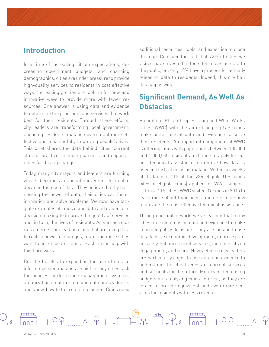### **Introduction**

In a time of increasing citizen expectations, decreasing government budgets, and changing demographics, cities are under pressure to provide high-quality services to residents in cost effective ways. Increasingly, cities are looking for new and innovative ways to provide more with fewer resources. One answer is using data and evidence to determine the programs and services that work best for their residents. Through these efforts, city leaders are transforming local government: engaging residents, making government more effective and meaningfully improving people's lives. This brief shares the data behind cities' current state of practice, including barriers and opportunities for driving change.

Today, many city mayors and leaders are forming what's become a national movement to double down on the use of data. They believe that by harnessing the power of data, their cities can foster innovation and solve problems. We now have tangible examples of cities using data and evidence in decision making to improve the quality of services and, in turn, the lives of residents. As success stories emerge from leading cities that are using data to realize powerful changes, more and more cities want to get on board—and are asking for help with this hard work.

But the hurdles to expanding the use of data to inform decision making are high: many cities lack the policies, performance management systems, organizational culture of using data and evidence, and know-how to turn data into action. Cities need

additional resources, tools, and expertise to close this gap. Consider the fact that 72% of cities we visited have invested in tools for releasing data to the public, but only 18% have a process for actually releasing data to residents. Indeed, this city hall data gap is wide.

### **Significant Demand, As Well As Obstacles**

Bloomberg Philanthropies launched What Works Cities (WWC) with the aim of helping U.S. cities make better use of data and evidence to serve their residents. An important component of WWC is offering cities with populations between 100,000 and 1,000,000 residents a chance to apply for expert technical assistance to improve how data is used in city hall decision making. Within six weeks of its launch, 115 of the 286 eligible U.S. cities (40% of eligible cities) applied for WWC support. Of those 115 cities, WWC visited 39 cities in 2015 to learn more about their needs and determine how to provide the most effective technical assistance.

Through our initial work, we've learned that many cities are sold on using data and evidence to make informed policy decisions. They are looking to use data to drive economic development, improve public safety, enhance social services, increase citizen engagement, and more. Newly elected city leaders are particularly eager to use data and evidence to understand the effectiveness of current services and set goals for the future. Moreover, decreasing budgets are catalyzing cities' interest, as they are forced to provide equivalent and even more services for residents with less revenue.

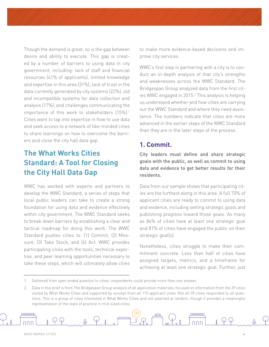Though the demand is great, so is the gap between desire and ability to execute. This gap is created by a number of barriers to using data in city government, including: lack of staff and financial resources (41% of applicants), limited knowledge and expertise in this area (31%), lack of trust in the data currently generated by city systems (22%), old and incompatible systems for data collection and analysis (17%), and challenges communicating the importance of this work to stakeholders (15%).<sup>1</sup> Cities want to tap into expertise in how to use data and seek access to a network of like-minded cities to share learnings on how to overcome the barriers and close the city hall data gap.

# **The What Works Cities Standard: A Tool for Closing the City Hall Data Gap**

WWC has worked with experts and partners to develop the WWC Standard, a series of steps that local public leaders can take to create a strong foundation for using data and evidence effectively within city government. The WWC Standard seeks to break down barriers by establishing a clear and tactical roadmap for doing this work. The WWC Standard pushes cities to: (1) Commit, (2) Measure, (3) Take Stock, and (4) Act. WWC provides participating cities with the tools, technical expertise, and peer learning opportunities necessary to take these steps, which will ultimately allow cities to make more evidence-based decisions and improve city services.

WWC's first step in partnering with a city is to conduct an in-depth analysis of that city's strengths and weaknesses across the WWC Standard. The Bridgespan Group analyzed data from the first cities WWC engaged in 2015.<sup>2</sup> This analysis is helping us understand whether and how cities are carrying out the WWC Standard and where they need assistance. The numbers indicate that cities are more advanced in the earlier steps of the WWC Standard than they are in the later steps of the process.

#### **1. Commit.**

City leaders must define and share strategic goals with the public, as well as commit to using data and evidence to get better results for their residents.

Data from our sample shows that participating cities are the furthest along in this area. A full 70% of applicant cities are ready to commit to using data and evidence, including setting strategic goals and publishing progress toward those goals. As many as 84% of cities have at least one strategic goal and 81% of cities have engaged the public on their strategic goal(s).

Nonetheless, cities struggle to make their commitment concrete. Less than half of cities have assigned targets, metrics, and a timeframe for achieving at least one strategic goal. Further, just

<sup>1.</sup> Gathered from open ended question to cities; respondents could provide more than one answer.

<sup>2.</sup> Data in this brief is from The Bridgespan Group analysis of all application materials, focused on information from the 39 cities visited by What Works Cities and supported by surveys from all 115 applicant cities. Not all 39 cities responded to all questions. This is a group of cities interested in What Works Cities and not selected at random, though it provides a meaningful representation of the state of practice in mid-sized cities.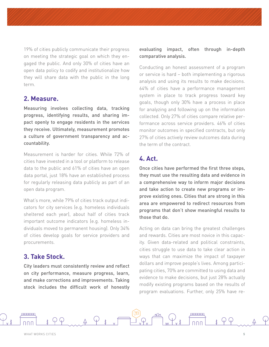19% of cities publicly communicate their progress on meeting the strategic goal on which they engaged the public. And only 30% of cities have an open data policy to codify and institutionalize how they will share data with the public in the long term.

#### **2. Measure.**

Measuring involves collecting data, tracking progress, identifying results, and sharing impact openly to engage residents in the services they receive. Ultimately, measurement promotes a culture of government transparency and accountability.

Measurement is harder for cities. While 72% of cities have invested in a tool or platform to release data to the public and 61% of cities have an open data portal, just 18% have an established process for regularly releasing data publicly as part of an open data program.

What's more, while 79% of cities track output indicators for city services (e.g. homeless individuals sheltered each year), about half of cities track important outcome indicators (e.g. homeless individuals moved to permanent housing). Only 34% of cities develop goals for service providers and procurements.

#### **3. Take Stock.**

City leaders must consistently review and reflect on city performance, measure progress, learn, and make corrections and improvements. Taking stock includes the difficult work of honestly

#### evaluating impact, often through in-depth comparative analysis.

Conducting an honest assessment of a program or service is hard – both implementing a rigorous analysis and using its results to make decisions. 64% of cities have a performance management system in place to track progress toward key goals, though only 30% have a process in place for analyzing and following up on the information collected. Only 27% of cities compare relative performance across service providers. 46% of cities monitor outcomes in specified contracts, but only 27% of cities actively review outcomes data during the term of the contract.

#### **4. Act.**

Once cities have performed the first three steps, they must use the resulting data and evidence in a comprehensive way to inform major decisions and take action to create new programs or improve existing ones. Cities that are strong in this area are empowered to redirect resources from programs that don't show meaningful results to those that do.

Acting on data can bring the greatest challenges and rewards. Cities are most novice in this capacity. Given data-related and political constraints, cities struggle to use data to take clear action in ways that can maximize the impact of taxpayer dollars and improve people's lives. Among participating cities, 70% are committed to using data and evidence to make decisions, but just 28% actually modify existing programs based on the results of program evaluations. Further, only 25% have re-

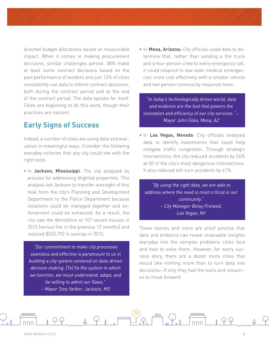directed budget allocations based on measurable impact. When it comes to making procurement decisions, similar challenges persist. 38% make at least some contract decisions based on the past performance of vendors and just 12% of cities consistently use data to inform contract decisions, both during the contract period and at the end of the contract period. The data speaks for itself. Cities are beginning to do this work, though their practices are nascent.

#### **Early Signs of Success**

Indeed, a number of cities are using data and evaluation in meaningful ways. Consider the following everyday victories that any city could see with the right tools.

**•** In **Jackson, Mississippi**: The city analyzed its process for addressing blighted properties. This analysis led Jackson to transfer oversight of this task from the city's Planning and Development Department to the Police Department because violations could be managed together and enforcement could be enhanced. As a result, the city saw the demolition of 107 vacant houses in 2015 (versus five in the previous 12 months) and realized \$525,792 in savings in 2015.

*"Our commitment to make city processes seamless and effective is paramount to us in building a city system centered on data-driven decision making. [To] fix the system in which we function, we must understand, adapt, and be willing to admit our flaws." – Mayor Tony Yarber, Jackson, MS*

**•** In **Mesa, Arizona:** City officials used data to determine that, rather than sending a fire truck and a four-person crew to every emergency call, it could respond to low-level medical emergencies more cost effectively with a smaller vehicle and two person community response team.

*"In today's technologically driven world, data and evidence are the fuel that powers the innovation and efficiency of our city services." – Mayor John Giles, Mesa, AZ*

**•** In **Las Vegas, Nevada**: City officials analyzed data to identify investments that could help mitigate traffic congestion. Through strategic interventions, the city reduced accidents by 26% at 50 of the city's most dangerous intersections. It also reduced left-turn accidents by 61%.

*"By using the right data, we are able to address where the need is most critical in our community." – City Manager Betsy Fretwell, Las Vegas, NV*

These stories and more are proof positive that data and evidence can reveal invaluable insights everyday into the complex problems cities face and how to solve them. However, for every success story, there are a dozen more cities that would like nothing more than to turn data into decisions—if only they had the tools and resources to move forward.

<del>. . . . . . . .</del>